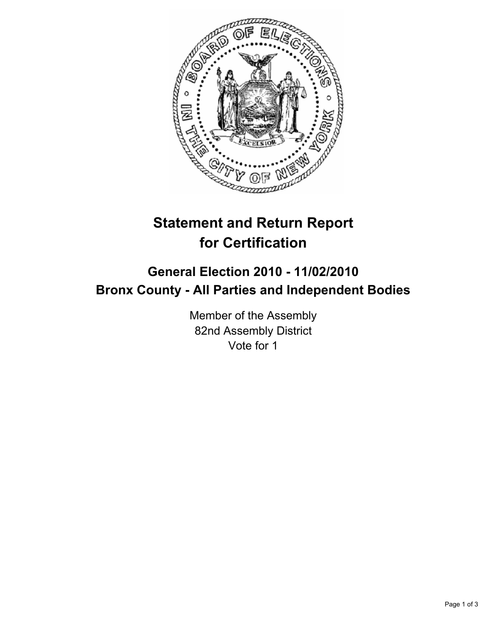

## **Statement and Return Report for Certification**

## **General Election 2010 - 11/02/2010 Bronx County - All Parties and Independent Bodies**

Member of the Assembly 82nd Assembly District Vote for 1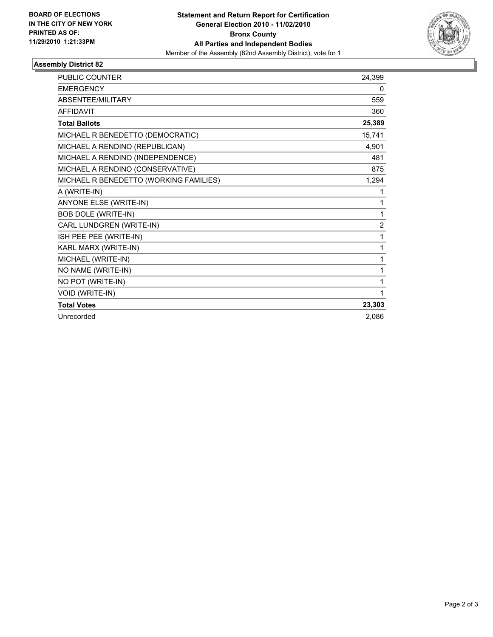

## **Assembly District 82**

| <b>PUBLIC COUNTER</b>                  | 24,399 |
|----------------------------------------|--------|
| <b>EMERGENCY</b>                       | 0      |
| ABSENTEE/MILITARY                      | 559    |
| <b>AFFIDAVIT</b>                       | 360    |
| <b>Total Ballots</b>                   | 25,389 |
| MICHAEL R BENEDETTO (DEMOCRATIC)       | 15,741 |
| MICHAEL A RENDINO (REPUBLICAN)         | 4,901  |
| MICHAEL A RENDINO (INDEPENDENCE)       | 481    |
| MICHAEL A RENDINO (CONSERVATIVE)       | 875    |
| MICHAEL R BENEDETTO (WORKING FAMILIES) | 1,294  |
| A (WRITE-IN)                           | 1      |
| <b>ANYONE ELSE (WRITE-IN)</b>          | 1      |
| <b>BOB DOLE (WRITE-IN)</b>             | 1      |
| CARL LUNDGREN (WRITE-IN)               | 2      |
| ISH PEE PEE (WRITE-IN)                 | 1      |
| KARL MARX (WRITE-IN)                   | 1      |
| MICHAEL (WRITE-IN)                     | 1      |
| NO NAME (WRITE-IN)                     | 1      |
| NO POT (WRITE-IN)                      | 1      |
| VOID (WRITE-IN)                        | 1      |
| <b>Total Votes</b>                     | 23,303 |
| Unrecorded                             | 2,086  |